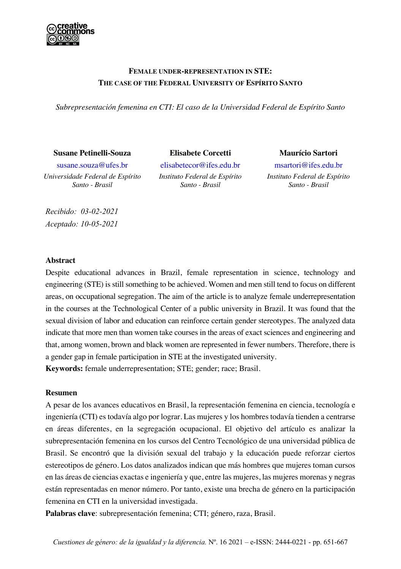

# **FEMALE UNDER-REPRESENTATION IN STE: THE CASE OF THE FEDERAL UNIVERSITY OF ESPÍRITO SANTO**

*Subrepresentación femenina en CTI: El caso de la Universidad Federal de Espírito Santo*

#### **Susane Petinelli-Souza Elisabete Corcetti Maurício Sartori**

*Universidade Federal de Espírito Santo - Brasil*

susane.souza@ufes.br elisabetecor@ifes.edu.br msartori@ifes.edu.br *Instituto Federal de Espírito Santo - Brasil*

*Instituto Federal de Espírito Santo - Brasil*

*Recibido: 03-02-2021 Aceptado: 10-05-2021*

### **Abstract**

Despite educational advances in Brazil, female representation in science, technology and engineering (STE) is still something to be achieved. Women and men still tend to focus on different areas, on occupational segregation. The aim of the article is to analyze female underrepresentation in the courses at the Technological Center of a public university in Brazil. It was found that the sexual division of labor and education can reinforce certain gender stereotypes. The analyzed data indicate that more men than women take courses in the areas of exact sciences and engineering and that, among women, brown and black women are represented in fewer numbers. Therefore, there is a gender gap in female participation in STE at the investigated university. **Keywords:** female underrepresentation; STE; gender; race; Brasil.

## **Resumen**

A pesar de los avances educativos en Brasil, la representación femenina en ciencia, tecnología e ingeniería (CTI) es todavía algo por lograr. Las mujeres y los hombres todavía tienden a centrarse en áreas diferentes, en la segregación ocupacional. El objetivo del artículo es analizar la subrepresentación femenina en los cursos del Centro Tecnológico de una universidad pública de Brasil. Se encontró que la división sexual del trabajo y la educación puede reforzar ciertos estereotipos de género. Los datos analizados indican que más hombres que mujeres toman cursos en las áreas de ciencias exactas e ingeniería y que, entre las mujeres, las mujeres morenas y negras están representadas en menor número. Por tanto, existe una brecha de género en la participación femenina en CTI en la universidad investigada.

**Palabras clave**: subrepresentación femenina; CTI; género, raza, Brasil.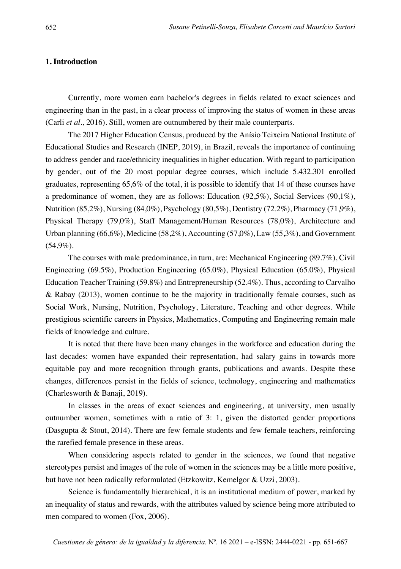# **1. Introduction**

Currently, more women earn bachelor's degrees in fields related to exact sciences and engineering than in the past, in a clear process of improving the status of women in these areas (Carli *et al*., 2016). Still, women are outnumbered by their male counterparts.

The 2017 Higher Education Census, produced by the Anísio Teixeira National Institute of Educational Studies and Research (INEP, 2019), in Brazil, reveals the importance of continuing to address gender and race/ethnicity inequalities in higher education. With regard to participation by gender, out of the 20 most popular degree courses, which include 5.432.301 enrolled graduates, representing 65,6% of the total, it is possible to identify that 14 of these courses have a predominance of women, they are as follows: Education  $(92,5\%)$ , Social Services  $(90,1\%)$ , Nutrition (85,2%), Nursing (84,0%), Psychology (80,5%), Dentistry (72.2%), Pharmacy (71,9%), Physical Therapy (79,0%), Staff Management/Human Resources (78,0%), Architecture and Urban planning (66,6%), Medicine (58,2%), Accounting (57,0%), Law (55,3%), and Government (54,9%).

The courses with male predominance, in turn, are: Mechanical Engineering (89.7%), Civil Engineering (69.5%), Production Engineering (65.0%), Physical Education (65.0%), Physical Education Teacher Training (59.8%) and Entrepreneurship (52.4%). Thus, according to Carvalho & Rabay (2013), women continue to be the majority in traditionally female courses, such as Social Work, Nursing, Nutrition, Psychology, Literature, Teaching and other degrees. While prestigious scientific careers in Physics, Mathematics, Computing and Engineering remain male fields of knowledge and culture.

It is noted that there have been many changes in the workforce and education during the last decades: women have expanded their representation, had salary gains in towards more equitable pay and more recognition through grants, publications and awards. Despite these changes, differences persist in the fields of science, technology, engineering and mathematics (Charlesworth & Banaji, 2019).

In classes in the areas of exact sciences and engineering, at university, men usually outnumber women, sometimes with a ratio of 3: 1, given the distorted gender proportions (Dasgupta & Stout, 2014). There are few female students and few female teachers, reinforcing the rarefied female presence in these areas.

When considering aspects related to gender in the sciences, we found that negative stereotypes persist and images of the role of women in the sciences may be a little more positive, but have not been radically reformulated (Etzkowitz, Kemelgor & Uzzi, 2003).

Science is fundamentally hierarchical, it is an institutional medium of power, marked by an inequality of status and rewards, with the attributes valued by science being more attributed to men compared to women (Fox, 2006).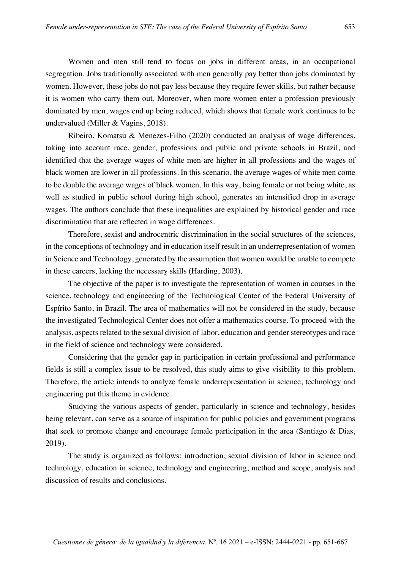Women and men still tend to focus on jobs in different areas, in an occupational segregation. Jobs traditionally associated with men generally pay better than jobs dominated by women. However, these jobs do not pay less because they require fewer skills, but rather because it is women who carry them out. Moreover, when more women enter a profession previously dominated by men, wages end up being reduced, which shows that female work continues to be undervalued (Miller & Vagins, 2018).

Ribeiro, Komatsu & Menezes-Filho (2020) conducted an analysis of wage differences, taking into account race, gender, professions and public and private schools in Brazil, and identified that the average wages of white men are higher in all professions and the wages of black women are lower in all professions. In this scenario, the average wages of white men come to be double the average wages of black women. In this way, being female or not being white, as well as studied in public school during high school, generates an intensified drop in average wages. The authors conclude that these inequalities are explained by historical gender and race discrimination that are reflected in wage differences.

Therefore, sexist and androcentric discrimination in the social structures of the sciences, in the conceptions of technology and in education itself result in an underrepresentation of women in Science and Technology, generated by the assumption that women would be unable to compete in these careers, lacking the necessary skills (Harding, 2003).

The objective of the paper is to investigate the representation of women in courses in the science, technology and engineering of the Technological Center of the Federal University of Espírito Santo, in Brazil. The area of mathematics will not be considered in the study, because the investigated Technological Center does not offer a mathematics course. To proceed with the analysis, aspects related to the sexual division of labor, education and gender stereotypes and race in the field of science and technology were considered.

Considering that the gender gap in participation in certain professional and performance fields is still a complex issue to be resolved, this study aims to give visibility to this problem. Therefore, the article intends to analyze female underrepresentation in science, technology and engineering put this theme in evidence.

Studying the various aspects of gender, particularly in science and technology, besides being relevant, can serve as a source of inspiration for public policies and government programs that seek to promote change and encourage female participation in the area (Santiago & Dias, 2019).

The study is organized as follows: introduction, sexual division of labor in science and technology, education in science, technology and engineering, method and scope, analysis and discussion of results and conclusions.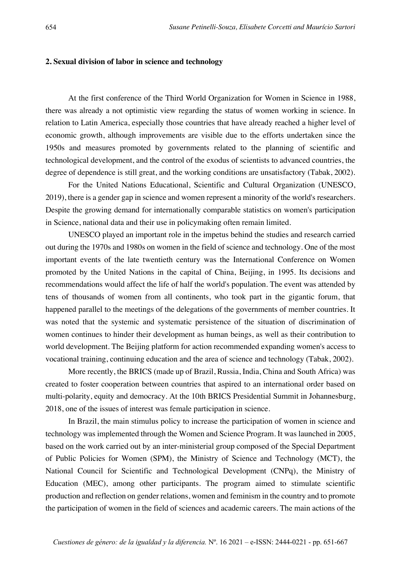## **2. Sexual division of labor in science and technology**

At the first conference of the Third World Organization for Women in Science in 1988, there was already a not optimistic view regarding the status of women working in science. In relation to Latin America, especially those countries that have already reached a higher level of economic growth, although improvements are visible due to the efforts undertaken since the 1950s and measures promoted by governments related to the planning of scientific and technological development, and the control of the exodus of scientists to advanced countries, the degree of dependence is still great, and the working conditions are unsatisfactory (Tabak, 2002).

For the United Nations Educational, Scientific and Cultural Organization (UNESCO, 2019), there is a gender gap in science and women represent a minority of the world's researchers. Despite the growing demand for internationally comparable statistics on women's participation in Science, national data and their use in policymaking often remain limited.

UNESCO played an important role in the impetus behind the studies and research carried out during the 1970s and 1980s on women in the field of science and technology. One of the most important events of the late twentieth century was the International Conference on Women promoted by the United Nations in the capital of China, Beijing, in 1995. Its decisions and recommendations would affect the life of half the world's population. The event was attended by tens of thousands of women from all continents, who took part in the gigantic forum, that happened parallel to the meetings of the delegations of the governments of member countries. It was noted that the systemic and systematic persistence of the situation of discrimination of women continues to hinder their development as human beings, as well as their contribution to world development. The Beijing platform for action recommended expanding women's access to vocational training, continuing education and the area of science and technology (Tabak, 2002).

More recently, the BRICS (made up of Brazil, Russia, India, China and South Africa) was created to foster cooperation between countries that aspired to an international order based on multi-polarity, equity and democracy. At the 10th BRICS Presidential Summit in Johannesburg, 2018, one of the issues of interest was female participation in science.

In Brazil, the main stimulus policy to increase the participation of women in science and technology was implemented through the Women and Science Program. It was launched in 2005, based on the work carried out by an inter-ministerial group composed of the Special Department of Public Policies for Women (SPM), the Ministry of Science and Technology (MCT), the National Council for Scientific and Technological Development (CNPq), the Ministry of Education (MEC), among other participants. The program aimed to stimulate scientific production and reflection on gender relations, women and feminism in the country and to promote the participation of women in the field of sciences and academic careers. The main actions of the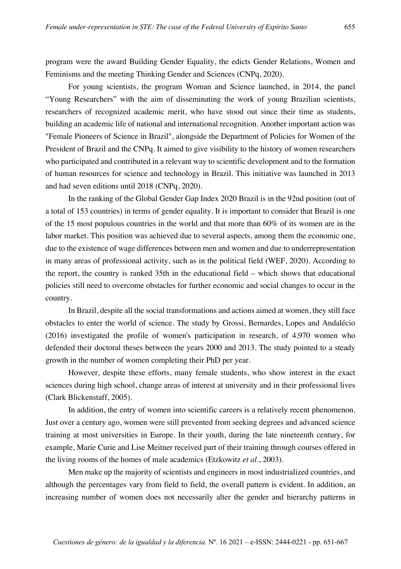program were the award Building Gender Equality, the edicts Gender Relations, Women and Feminisms and the meeting Thinking Gender and Sciences (CNPq, 2020).

For young scientists, the program Woman and Science launched, in 2014, the panel "Young Researchers" with the aim of disseminating the work of young Brazilian scientists, researchers of recognized academic merit, who have stood out since their time as students, building an academic life of national and international recognition. Another important action was "Female Pioneers of Science in Brazil", alongside the Department of Policies for Women of the President of Brazil and the CNPq. It aimed to give visibility to the history of women researchers who participated and contributed in a relevant way to scientific development and to the formation of human resources for science and technology in Brazil. This initiative was launched in 2013 and had seven editions until 2018 (CNPq, 2020).

In the ranking of the Global Gender Gap Index 2020 Brazil is in the 92nd position (out of a total of 153 countries) in terms of gender equality. It is important to consider that Brazil is one of the 15 most populous countries in the world and that more than 60% of its women are in the labor market. This position was achieved due to several aspects, among them the economic one, due to the existence of wage differences between men and women and due to underrepresentation in many areas of professional activity, such as in the political field (WEF, 2020). According to the report, the country is ranked 35th in the educational field – which shows that educational policies still need to overcome obstacles for further economic and social changes to occur in the country.

In Brazil, despite all the social transformations and actions aimed at women, they still face obstacles to enter the world of science. The study by Grossi, Bernardes, Lopes and Andalécio (2016) investigated the profile of women's participation in research, of 4,970 women who defended their doctoral theses between the years 2000 and 2013. The study pointed to a steady growth in the number of women completing their PhD per year.

However, despite these efforts, many female students, who show interest in the exact sciences during high school, change areas of interest at university and in their professional lives (Clark Blickenstaff, 2005).

In addition, the entry of women into scientific careers is a relatively recent phenomenon. Just over a century ago, women were still prevented from seeking degrees and advanced science training at most universities in Europe. In their youth, during the late nineteenth century, for example, Marie Curie and Lise Meitner received part of their training through courses offered in the living rooms of the homes of male academics (Etzkowitz *et al*., 2003).

Men make up the majority of scientists and engineers in most industrialized countries, and although the percentages vary from field to field, the overall pattern is evident. In addition, an increasing number of women does not necessarily alter the gender and hierarchy patterns in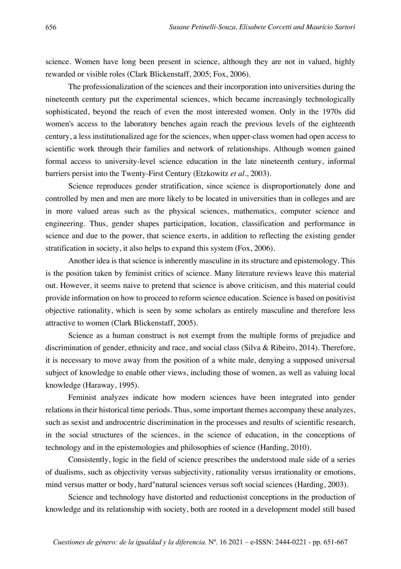science. Women have long been present in science, although they are not in valued, highly rewarded or visible roles (Clark Blickenstaff, 2005; Fox, 2006).

The professionalization of the sciences and their incorporation into universities during the nineteenth century put the experimental sciences, which became increasingly technologically sophisticated, beyond the reach of even the most interested women. Only in the 1970s did women's access to the laboratory benches again reach the previous levels of the eighteenth century, a less institutionalized age for the sciences, when upper-class women had open access to scientific work through their families and network of relationships. Although women gained formal access to university-level science education in the late nineteenth century, informal barriers persist into the Twenty-First Century (Etzkowitz *et al.*, 2003).

Science reproduces gender stratification, since science is disproportionately done and controlled by men and men are more likely to be located in universities than in colleges and are in more valued areas such as the physical sciences, mathematics, computer science and engineering. Thus, gender shapes participation, location, classification and performance in science and due to the power, that science exerts, in addition to reflecting the existing gender stratification in society, it also helps to expand this system (Fox, 2006).

Another idea is that science is inherently masculine in its structure and epistemology. This is the position taken by feminist critics of science. Many literature reviews leave this material out. However, it seems naive to pretend that science is above criticism, and this material could provide information on how to proceed to reform science education. Science is based on positivist objective rationality, which is seen by some scholars as entirely masculine and therefore less attractive to women (Clark Blickenstaff, 2005).

Science as a human construct is not exempt from the multiple forms of prejudice and discrimination of gender, ethnicity and race, and social class (Silva & Ribeiro, 2014). Therefore, it is necessary to move away from the position of a white male, denying a supposed universal subject of knowledge to enable other views, including those of women, as well as valuing local knowledge (Haraway, 1995).

Feminist analyzes indicate how modern sciences have been integrated into gender relations in their historical time periods. Thus, some important themes accompany these analyzes, such as sexist and androcentric discrimination in the processes and results of scientific research, in the social structures of the sciences, in the science of education, in the conceptions of technology and in the epistemologies and philosophies of science (Harding, 2010).

Consistently, logic in the field of science prescribes the understood male side of a series of dualisms, such as objectivity versus subjectivity, rationality versus irrationality or emotions, mind versus matter or body, hard"natural sciences versus soft social sciences (Harding, 2003).

Science and technology have distorted and reductionist conceptions in the production of knowledge and its relationship with society, both are rooted in a development model still based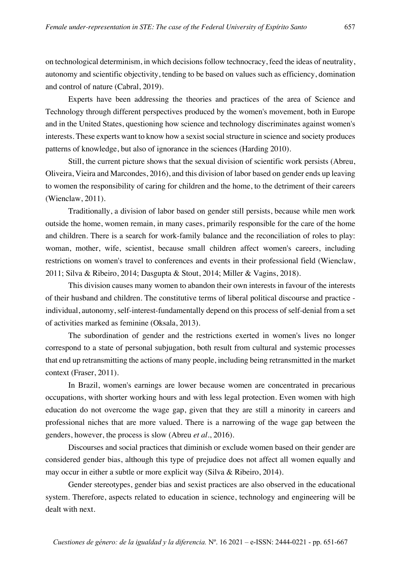on technological determinism, in which decisions follow technocracy, feed the ideas of neutrality, autonomy and scientific objectivity, tending to be based on values such as efficiency, domination and control of nature (Cabral, 2019).

Experts have been addressing the theories and practices of the area of Science and Technology through different perspectives produced by the women's movement, both in Europe and in the United States, questioning how science and technology discriminates against women's interests. These experts want to know how a sexist social structure in science and society produces patterns of knowledge, but also of ignorance in the sciences (Harding 2010).

Still, the current picture shows that the sexual division of scientific work persists (Abreu, Oliveira, Vieira and Marcondes, 2016), and this division of labor based on gender ends up leaving to women the responsibility of caring for children and the home, to the detriment of their careers (Wienclaw, 2011).

Traditionally, a division of labor based on gender still persists, because while men work outside the home, women remain, in many cases, primarily responsible for the care of the home and children. There is a search for work-family balance and the reconciliation of roles to play: woman, mother, wife, scientist, because small children affect women's careers, including restrictions on women's travel to conferences and events in their professional field (Wienclaw, 2011; Silva & Ribeiro, 2014; Dasgupta & Stout, 2014; Miller & Vagins, 2018).

This division causes many women to abandon their own interests in favour of the interests of their husband and children. The constitutive terms of liberal political discourse and practice individual, autonomy, self-interest-fundamentally depend on this process of self-denial from a set of activities marked as feminine (Oksala, 2013).

The subordination of gender and the restrictions exerted in women's lives no longer correspond to a state of personal subjugation, both result from cultural and systemic processes that end up retransmitting the actions of many people, including being retransmitted in the market context (Fraser, 2011).

In Brazil, women's earnings are lower because women are concentrated in precarious occupations, with shorter working hours and with less legal protection. Even women with high education do not overcome the wage gap, given that they are still a minority in careers and professional niches that are more valued. There is a narrowing of the wage gap between the genders, however, the process is slow (Abreu *et al*., 2016).

Discourses and social practices that diminish or exclude women based on their gender are considered gender bias, although this type of prejudice does not affect all women equally and may occur in either a subtle or more explicit way (Silva & Ribeiro, 2014).

Gender stereotypes, gender bias and sexist practices are also observed in the educational system. Therefore, aspects related to education in science, technology and engineering will be dealt with next.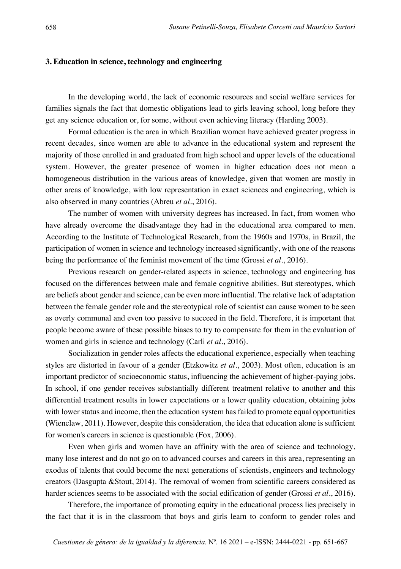### **3. Education in science, technology and engineering**

In the developing world, the lack of economic resources and social welfare services for families signals the fact that domestic obligations lead to girls leaving school, long before they get any science education or, for some, without even achieving literacy (Harding 2003).

Formal education is the area in which Brazilian women have achieved greater progress in recent decades, since women are able to advance in the educational system and represent the majority of those enrolled in and graduated from high school and upper levels of the educational system. However, the greater presence of women in higher education does not mean a homogeneous distribution in the various areas of knowledge, given that women are mostly in other areas of knowledge, with low representation in exact sciences and engineering, which is also observed in many countries (Abreu *et al*., 2016).

The number of women with university degrees has increased. In fact, from women who have already overcome the disadvantage they had in the educational area compared to men. According to the Institute of Technological Research, from the 1960s and 1970s, in Brazil, the participation of women in science and technology increased significantly, with one of the reasons being the performance of the feminist movement of the time (Grossi *et al*., 2016).

Previous research on gender-related aspects in science, technology and engineering has focused on the differences between male and female cognitive abilities. But stereotypes, which are beliefs about gender and science, can be even more influential. The relative lack of adaptation between the female gender role and the stereotypical role of scientist can cause women to be seen as overly communal and even too passive to succeed in the field. Therefore, it is important that people become aware of these possible biases to try to compensate for them in the evaluation of women and girls in science and technology (Carli *et al*., 2016).

Socialization in gender roles affects the educational experience, especially when teaching styles are distorted in favour of a gender (Etzkowitz *et al*., 2003). Most often, education is an important predictor of socioeconomic status, influencing the achievement of higher-paying jobs. In school, if one gender receives substantially different treatment relative to another and this differential treatment results in lower expectations or a lower quality education, obtaining jobs with lower status and income, then the education system has failed to promote equal opportunities (Wienclaw, 2011). However, despite this consideration, the idea that education alone is sufficient for women's careers in science is questionable (Fox, 2006).

Even when girls and women have an affinity with the area of science and technology, many lose interest and do not go on to advanced courses and careers in this area, representing an exodus of talents that could become the next generations of scientists, engineers and technology creators (Dasgupta &Stout, 2014). The removal of women from scientific careers considered as harder sciences seems to be associated with the social edification of gender (Grossi *et al*., 2016).

Therefore, the importance of promoting equity in the educational process lies precisely in the fact that it is in the classroom that boys and girls learn to conform to gender roles and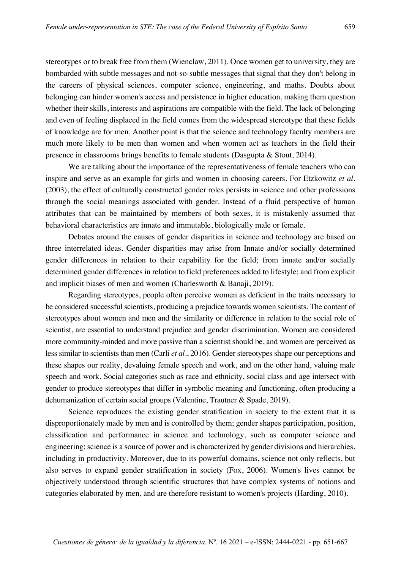stereotypes or to break free from them (Wienclaw, 2011). Once women get to university, they are bombarded with subtle messages and not-so-subtle messages that signal that they don't belong in the careers of physical sciences, computer science, engineering, and maths. Doubts about belonging can hinder women's access and persistence in higher education, making them question whether their skills, interests and aspirations are compatible with the field. The lack of belonging and even of feeling displaced in the field comes from the widespread stereotype that these fields of knowledge are for men. Another point is that the science and technology faculty members are much more likely to be men than women and when women act as teachers in the field their presence in classrooms brings benefits to female students (Dasgupta & Stout, 2014).

We are talking about the importance of the representativeness of female teachers who can inspire and serve as an example for girls and women in choosing careers. For Etzkowitz *et al*. (2003), the effect of culturally constructed gender roles persists in science and other professions through the social meanings associated with gender. Instead of a fluid perspective of human attributes that can be maintained by members of both sexes, it is mistakenly assumed that behavioral characteristics are innate and immutable, biologically male or female.

Debates around the causes of gender disparities in science and technology are based on three interrelated ideas. Gender disparities may arise from Innate and/or socially determined gender differences in relation to their capability for the field; from innate and/or socially determined gender differences in relation to field preferences added to lifestyle; and from explicit and implicit biases of men and women (Charlesworth & Banaji, 2019).

Regarding stereotypes, people often perceive women as deficient in the traits necessary to be considered successful scientists, producing a prejudice towards women scientists. The content of stereotypes about women and men and the similarity or difference in relation to the social role of scientist, are essential to understand prejudice and gender discrimination. Women are considered more community-minded and more passive than a scientist should be, and women are perceived as less similar to scientists than men (Carli *et al*., 2016). Gender stereotypes shape our perceptions and these shapes our reality, devaluing female speech and work, and on the other hand, valuing male speech and work. Social categories such as race and ethnicity, social class and age intersect with gender to produce stereotypes that differ in symbolic meaning and functioning, often producing a dehumanization of certain social groups (Valentine, Trautner & Spade, 2019).

Science reproduces the existing gender stratification in society to the extent that it is disproportionately made by men and is controlled by them; gender shapes participation, position, classification and performance in science and technology, such as computer science and engineering; science is a source of power and is characterized by gender divisions and hierarchies, including in productivity. Moreover, due to its powerful domains, science not only reflects, but also serves to expand gender stratification in society (Fox, 2006). Women's lives cannot be objectively understood through scientific structures that have complex systems of notions and categories elaborated by men, and are therefore resistant to women's projects (Harding, 2010).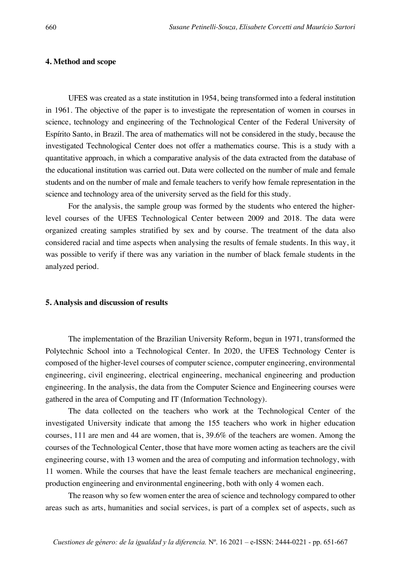## **4. Method and scope**

UFES was created as a state institution in 1954, being transformed into a federal institution in 1961. The objective of the paper is to investigate the representation of women in courses in science, technology and engineering of the Technological Center of the Federal University of Espírito Santo, in Brazil. The area of mathematics will not be considered in the study, because the investigated Technological Center does not offer a mathematics course. This is a study with a quantitative approach, in which a comparative analysis of the data extracted from the database of the educational institution was carried out. Data were collected on the number of male and female students and on the number of male and female teachers to verify how female representation in the science and technology area of the university served as the field for this study.

For the analysis, the sample group was formed by the students who entered the higherlevel courses of the UFES Technological Center between 2009 and 2018. The data were organized creating samples stratified by sex and by course. The treatment of the data also considered racial and time aspects when analysing the results of female students. In this way, it was possible to verify if there was any variation in the number of black female students in the analyzed period.

#### **5. Analysis and discussion of results**

The implementation of the Brazilian University Reform, begun in 1971, transformed the Polytechnic School into a Technological Center. In 2020, the UFES Technology Center is composed of the higher-level courses of computer science, computer engineering, environmental engineering, civil engineering, electrical engineering, mechanical engineering and production engineering. In the analysis, the data from the Computer Science and Engineering courses were gathered in the area of Computing and IT (Information Technology).

The data collected on the teachers who work at the Technological Center of the investigated University indicate that among the 155 teachers who work in higher education courses, 111 are men and 44 are women, that is, 39.6% of the teachers are women. Among the courses of the Technological Center, those that have more women acting as teachers are the civil engineering course, with 13 women and the area of computing and information technology, with 11 women. While the courses that have the least female teachers are mechanical engineering, production engineering and environmental engineering, both with only 4 women each.

The reason why so few women enter the area of science and technology compared to other areas such as arts, humanities and social services, is part of a complex set of aspects, such as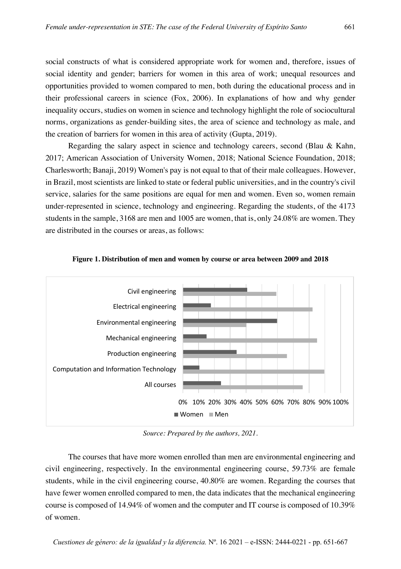social constructs of what is considered appropriate work for women and, therefore, issues of social identity and gender; barriers for women in this area of work; unequal resources and opportunities provided to women compared to men, both during the educational process and in their professional careers in science (Fox, 2006). In explanations of how and why gender inequality occurs, studies on women in science and technology highlight the role of sociocultural norms, organizations as gender-building sites, the area of science and technology as male, and the creation of barriers for women in this area of activity (Gupta, 2019).

Regarding the salary aspect in science and technology careers, second (Blau & Kahn, 2017; American Association of University Women, 2018; National Science Foundation, 2018; Charlesworth; Banaji, 2019) Women's pay is not equal to that of their male colleagues. However, in Brazil, most scientists are linked to state or federal public universities, and in the country's civil service, salaries for the same positions are equal for men and women. Even so, women remain under-represented in science, technology and engineering. Regarding the students, of the 4173 students in the sample, 3168 are men and 1005 are women, that is, only 24.08% are women. They are distributed in the courses or areas, as follows:





*Source: Prepared by the authors, 2021.*

The courses that have more women enrolled than men are environmental engineering and civil engineering, respectively. In the environmental engineering course, 59.73% are female students, while in the civil engineering course, 40.80% are women. Regarding the courses that have fewer women enrolled compared to men, the data indicates that the mechanical engineering course is composed of 14.94% of women and the computer and IT course is composed of 10.39% of women.

*Cuestiones de género: de la igualdad y la diferencia.* Nº. 16 2021 – e-ISSN: 2444-0221 - pp. 651-667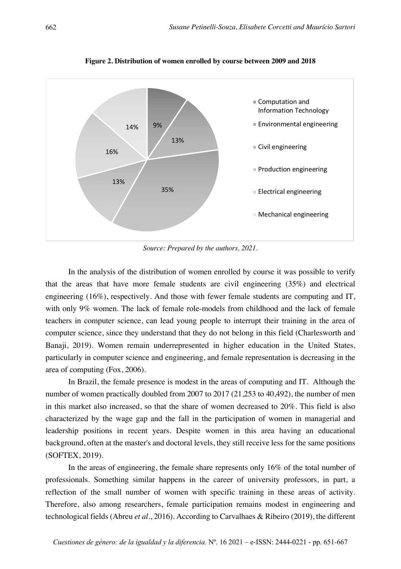

**Figure 2. Distribution of women enrolled by course between 2009 and 2018**

*Source: Prepared by the authors, 2021.*

In the analysis of the distribution of women enrolled by course it was possible to verify that the areas that have more female students are civil engineering (35%) and electrical engineering (16%), respectively. And those with fewer female students are computing and IT, with only 9% women. The lack of female role-models from childhood and the lack of female teachers in computer science, can lead young people to interrupt their training in the area of computer science, since they understand that they do not belong in this field (Charlesworth and Banaji, 2019). Women remain underrepresented in higher education in the United States, particularly in computer science and engineering, and female representation is decreasing in the area of computing (Fox, 2006).

In Brazil, the female presence is modest in the areas of computing and IT. Although the number of women practically doubled from 2007 to 2017 (21,253 to 40,492), the number of men in this market also increased, so that the share of women decreased to 20%. This field is also characterized by the wage gap and the fall in the participation of women in managerial and leadership positions in recent years. Despite women in this area having an educational background, often at the master's and doctoral levels, they still receive less for the same positions (SOFTEX, 2019).

In the areas of engineering, the female share represents only 16% of the total number of professionals. Something similar happens in the career of university professors, in part, a reflection of the small number of women with specific training in these areas of activity. Therefore, also among researchers, female participation remains modest in engineering and technological fields (Abreu *et al*., 2016). According to Carvalhaes & Ribeiro (2019), the different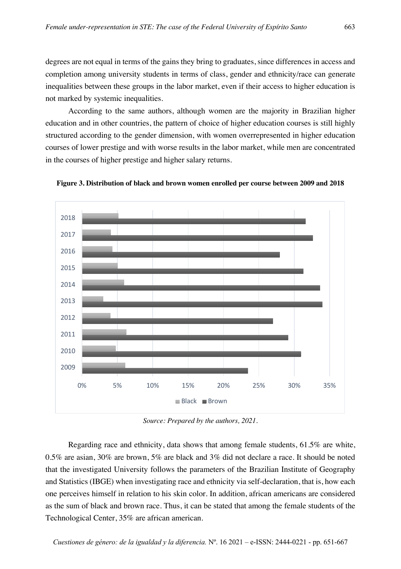degrees are not equal in terms of the gains they bring to graduates, since differences in access and completion among university students in terms of class, gender and ethnicity/race can generate inequalities between these groups in the labor market, even if their access to higher education is not marked by systemic inequalities.

According to the same authors, although women are the majority in Brazilian higher education and in other countries, the pattern of choice of higher education courses is still highly structured according to the gender dimension, with women overrepresented in higher education courses of lower prestige and with worse results in the labor market, while men are concentrated in the courses of higher prestige and higher salary returns.



**Figure 3. Distribution of black and brown women enrolled per course between 2009 and 2018**

*Source: Prepared by the authors, 2021.*

Regarding race and ethnicity, data shows that among female students, 61.5% are white, 0.5% are asian, 30% are brown, 5% are black and 3% did not declare a race. It should be noted that the investigated University follows the parameters of the Brazilian Institute of Geography and Statistics (IBGE) when investigating race and ethnicity via self-declaration, that is, how each one perceives himself in relation to his skin color. In addition, african americans are considered as the sum of black and brown race. Thus, it can be stated that among the female students of the Technological Center, 35% are african american.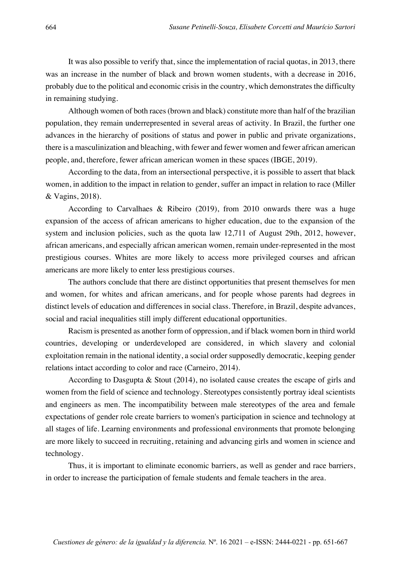It was also possible to verify that, since the implementation of racial quotas, in 2013, there was an increase in the number of black and brown women students, with a decrease in 2016, probably due to the political and economic crisis in the country, which demonstrates the difficulty in remaining studying.

Although women of both races (brown and black) constitute more than half of the brazilian population, they remain underrepresented in several areas of activity. In Brazil, the further one advances in the hierarchy of positions of status and power in public and private organizations, there is a masculinization and bleaching, with fewer and fewer women and fewer african american people, and, therefore, fewer african american women in these spaces (IBGE, 2019).

According to the data, from an intersectional perspective, it is possible to assert that black women, in addition to the impact in relation to gender, suffer an impact in relation to race (Miller & Vagins, 2018).

According to Carvalhaes & Ribeiro (2019), from 2010 onwards there was a huge expansion of the access of african americans to higher education, due to the expansion of the system and inclusion policies, such as the quota law 12,711 of August 29th, 2012, however, african americans, and especially african american women, remain under-represented in the most prestigious courses. Whites are more likely to access more privileged courses and african americans are more likely to enter less prestigious courses.

The authors conclude that there are distinct opportunities that present themselves for men and women, for whites and african americans, and for people whose parents had degrees in distinct levels of education and differences in social class. Therefore, in Brazil, despite advances, social and racial inequalities still imply different educational opportunities.

Racism is presented as another form of oppression, and if black women born in third world countries, developing or underdeveloped are considered, in which slavery and colonial exploitation remain in the national identity, a social order supposedly democratic, keeping gender relations intact according to color and race (Carneiro, 2014).

According to Dasgupta & Stout (2014), no isolated cause creates the escape of girls and women from the field of science and technology. Stereotypes consistently portray ideal scientists and engineers as men. The incompatibility between male stereotypes of the area and female expectations of gender role create barriers to women's participation in science and technology at all stages of life. Learning environments and professional environments that promote belonging are more likely to succeed in recruiting, retaining and advancing girls and women in science and technology.

Thus, it is important to eliminate economic barriers, as well as gender and race barriers, in order to increase the participation of female students and female teachers in the area.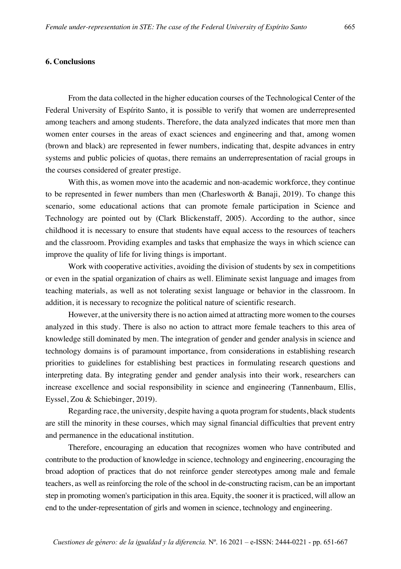# **6. Conclusions**

From the data collected in the higher education courses of the Technological Center of the Federal University of Espírito Santo, it is possible to verify that women are underrepresented among teachers and among students. Therefore, the data analyzed indicates that more men than women enter courses in the areas of exact sciences and engineering and that, among women (brown and black) are represented in fewer numbers, indicating that, despite advances in entry systems and public policies of quotas, there remains an underrepresentation of racial groups in the courses considered of greater prestige.

With this, as women move into the academic and non-academic workforce, they continue to be represented in fewer numbers than men (Charlesworth & Banaji, 2019). To change this scenario, some educational actions that can promote female participation in Science and Technology are pointed out by (Clark Blickenstaff, 2005). According to the author, since childhood it is necessary to ensure that students have equal access to the resources of teachers and the classroom. Providing examples and tasks that emphasize the ways in which science can improve the quality of life for living things is important.

Work with cooperative activities, avoiding the division of students by sex in competitions or even in the spatial organization of chairs as well. Eliminate sexist language and images from teaching materials, as well as not tolerating sexist language or behavior in the classroom. In addition, it is necessary to recognize the political nature of scientific research.

However, at the university there is no action aimed at attracting more women to the courses analyzed in this study. There is also no action to attract more female teachers to this area of knowledge still dominated by men. The integration of gender and gender analysis in science and technology domains is of paramount importance, from considerations in establishing research priorities to guidelines for establishing best practices in formulating research questions and interpreting data. By integrating gender and gender analysis into their work, researchers can increase excellence and social responsibility in science and engineering (Tannenbaum, Ellis, Eyssel, Zou & Schiebinger, 2019).

Regarding race, the university, despite having a quota program for students, black students are still the minority in these courses, which may signal financial difficulties that prevent entry and permanence in the educational institution.

Therefore, encouraging an education that recognizes women who have contributed and contribute to the production of knowledge in science, technology and engineering, encouraging the broad adoption of practices that do not reinforce gender stereotypes among male and female teachers, as well as reinforcing the role of the school in de-constructing racism, can be an important step in promoting women's participation in this area. Equity, the sooner it is practiced, will allow an end to the under-representation of girls and women in science, technology and engineering.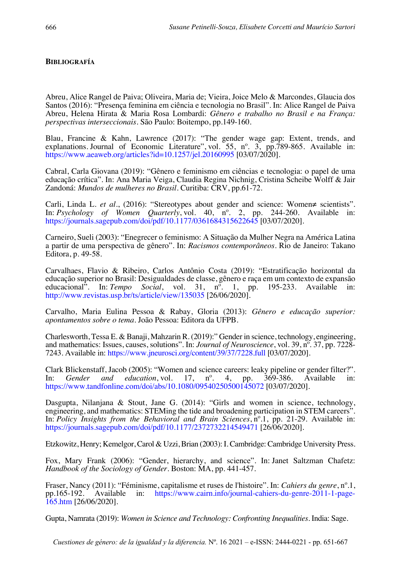# **BIBLIOGRAFÍA**

Abreu, Alice Rangel de Paiva; Oliveira, Maria de; Vieira, Joice Melo & Marcondes, Glaucia dos Santos (2016): "Presença feminina em ciência e tecnologia no Brasil". In: Alice Rangel de Paiva Abreu, Helena Hirata & Maria Rosa Lombardi: *Gênero e trabalho no Brasil e na França: perspectivas interseccionais*. São Paulo: Boitempo, pp.149-160.

Blau, Francine & Kahn, Lawrence (2017): "The gender wage gap: Extent, trends, and explanations. Journal of Economic Literature", vol. 55, n°. 3, pp.789-865. Available in: https://www.aeaweb.org/articles?id=10.1257/jel.20160995 [03/07/2020].

Cabral, Carla Giovana (2019): "Gênero e feminismo em ciências e tecnologia: o papel de uma educação crítica". In: Ana Maria Veiga, Claudia Regina Nichnig, Cristina Scheibe Wolff & Jair Zandoná: *Mundos de mulheres no Brasil*. Curitiba: CRV, pp.61-72.

Carli, Linda L. *et al.*, (2016): "Stereotypes about gender and science: Women≠ scientists". In: *Psychology of Women Quarterly*, vol. 40, nº. 2, pp. 244-260. Available in: https://journals.sagepub.com/doi/pdf/10.1177/0361684315622645 [03/07/2020].

Carneiro, Sueli (2003): "Enegrecer o feminismo: A Situação da Mulher Negra na América Latina a partir de uma perspectiva de gênero". In: *Racismos contemporâneos*. Rio de Janeiro: Takano Editora, p. 49-58.

Carvalhaes, Flavio & Ribeiro, Carlos Antônio Costa (2019): "Estratificação horizontal da educação superior no Brasil: Desigualdades de classe, gênero e raça em um contexto de expansão educacional". In: *Tempo Social*, vol. 31, nº. 1, pp. 195-233. Available in: http://www.revistas.usp.br/ts/article/view/135035 [26/06/2020].

Carvalho, Maria Eulina Pessoa & Rabay, Gloria (2013): *Gênero e educação superior: apontamentos sobre o tema*. João Pessoa: Editora da UFPB.

Charlesworth, Tessa E. & Banaji, Mahzarin R. (2019):" Gender in science, technology, engineering, and mathematics: Issues, causes, solutions". In: *Journal of Neuroscience*, vol. 39, n°. 37, pp. 7228-7243. Available in: https://www.jneurosci.org/content/39/37/7228.full [03/07/2020].

Clark Blickenstaff, Jacob (2005): "Women and science careers: leaky pipeline or gender filter?".<br>In: Gender and education, vol. 17, n°. 4, pp. 369-386. Available in: In: *Gender and education*, vol. 17, nº. 4, pp. 369-386. Available in: https://www.tandfonline.com/doi/abs/10.1080/09540250500145072 [03/07/2020].

Dasgupta, Nilanjana & Stout, Jane G. (2014): "Girls and women in science, technology, engineering, and mathematics: STEMing the tide and broadening participation in STEM careers". In: *Policy Insights from the Behavioral and Brain Sciences*, nº.1, pp. 21-29. Available in: https://journals.sagepub.com/doi/pdf/10.1177/2372732214549471 [26/06/2020].

Etzkowitz, Henry; Kemelgor, Carol & Uzzi, Brian (2003): I. Cambridge: Cambridge University Press.

Fox, Mary Frank (2006): "Gender, hierarchy, and science". In: Janet Saltzman Chafetz: *Handbook of the Sociology of Gender*. Boston: MA, pp. 441-457.

Fraser, Nancy (2011): "Féminisme, capitalisme et ruses de l'histoire". In: *Cahiers du genre*, nº.1, pp.165-192. Available in: https://www.cairn.info/journal-cahiers-du-genre-2011-1-page-165.htm [26/06/2020].

Gupta, Namrata (2019): *Women in Science and Technology: Confronting Inequalities.* India: Sage.